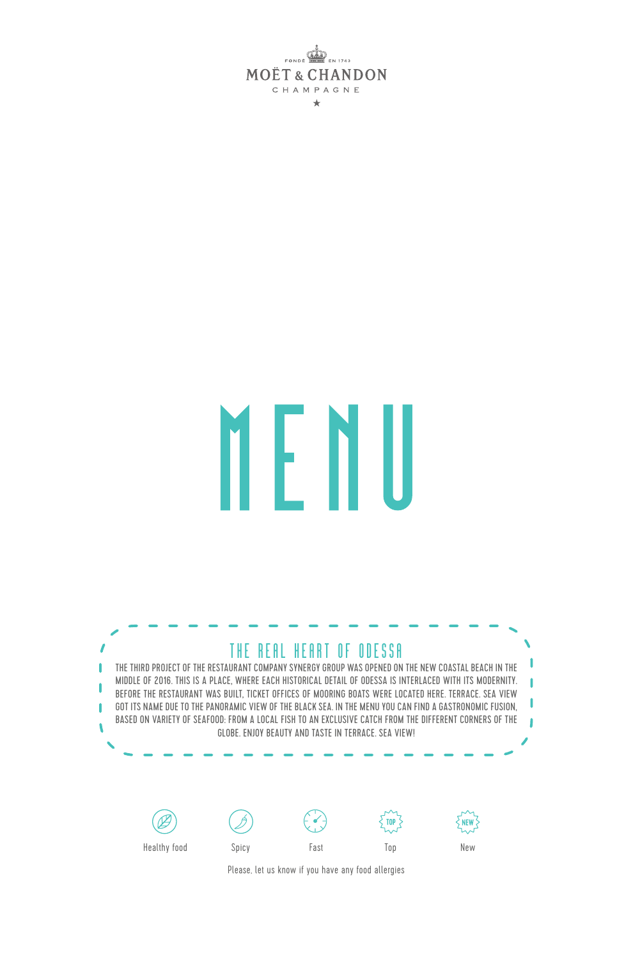**MOËT & CHANDON** CHAMPAGNE  $\star$ 

# M H

#### THE REAL HEART OF ODESSA

THE THIRD PROJECT OF THE RESTAURANT COMPANY SYNERGY GROUP WAS OPENED ON THE NEW COASTAL BEACH IN THE ı MIDDLE OF 2016. THIS IS A PLACE, WHERE EACH HISTORICAL DETAIL OF ODESSA IS INTERLACED WITH ITS MODERNITY. T ı BEFORE THE RESTAURANT WAS BUILT, TICKET OFFICES OF MOORING BOATS WERE LOCATED HERE. TERRACE. SEA VIEW I GOT ITS NAME DUE TO THE PANORAMIC VIEW OF THE BLACK SEA. IN THE MENU YOU CAN FIND A GASTRONOMIC FUSION, BASED ON VARIETY OF SEAFOOD: FROM A LOCAL FISH TO AN EXCLUSIVE CATCH FROM THE DIFFERENT CORNERS OF THE Ï GLOBE. ENJOY BEAUTY AND TASTE IN TERRACE. SEA VIEW!











Healthy food Spicy Fast

Please, let us know if you have any food allergies

Top New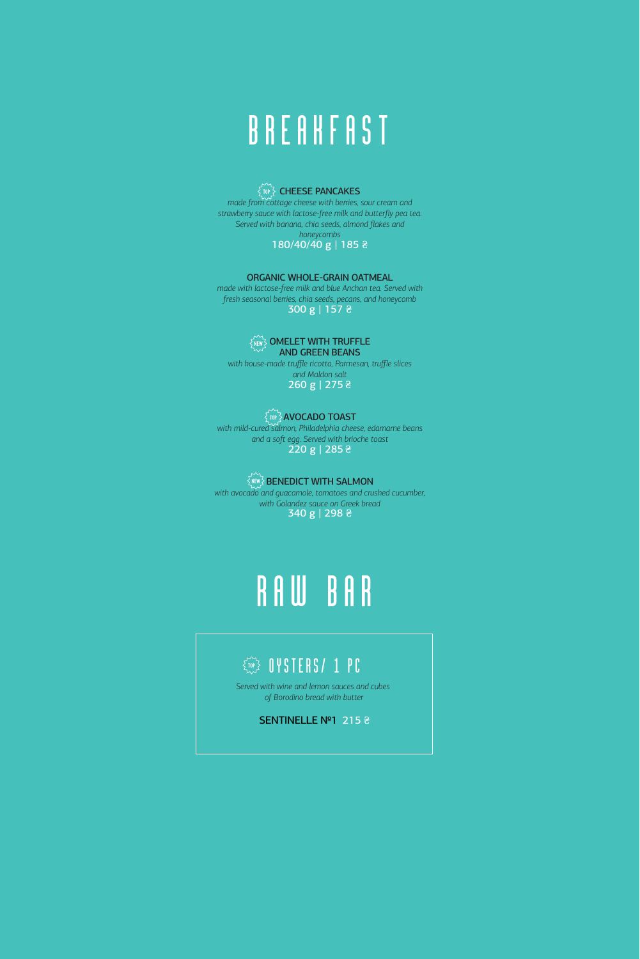# **BREAKFAST**

#### CHEESE PANCAKES

*made from cottage cheese with berries, sour cream and strawberry sauce with lactose-free milk and butterfly pea tea. Served with banana, chia seeds, almond flakes and honeycombs*

#### 180/40/40 g | 185 ₴

#### ORGANIC WHOLE-GRAIN OATMEAL

*made with lactose-free milk and blue Anchan tea. Served with fresh seasonal berries, chia seeds, pecans, and honeycomb* 300 g | 157 ₴

#### **SNEWS OMELET WITH TRUFFLE**

AND GREEN BEANS *with house-made truffle ricotta, Parmesan, truffle slices and Maldon salt* 260 g | 275 ₴

#### **AVOCADO TOAST** *with mild-cured salmon, Philadelphia cheese, edamame beans and a soſt egg. Served with brioche toast*

220 g | 285 ₴

#### $\widetilde{\mathbb{R}}$ iew $\widetilde{\mathbb{R}}$  BENEDICT WITH SALMON

*with avocado and guacamole, tomatoes and crushed cucumber, with Golandez sauce on Greek bread* 340 g | 298 ₴

# RAW BAR

#### $\widehat{C_{\text{max}}}$  oysters/ 1 pc

*Served with wine and lemon sauces and cubes of Borodino bread with butter*

#### SENTINELLE №1 215 ₴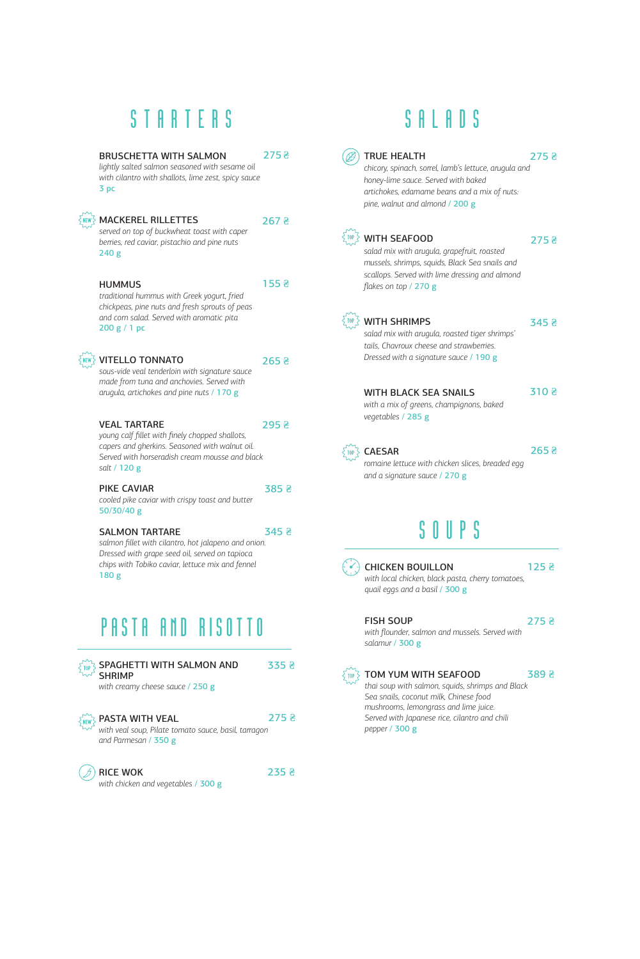## **STARTERS**

| <b>BRUSCHETTA WITH SAI MON</b><br>lightly salted salmon seasoned with sesame oil<br>with cilantro with shallots, lime zest, spicy sauce<br>3 pc                                                         | 275 윤            |
|---------------------------------------------------------------------------------------------------------------------------------------------------------------------------------------------------------|------------------|
| <b>MACKEREL RILLETTES</b><br>served on top of buckwheat toast with caper<br>berries, red caviar, pistachio and pine nuts<br>240g                                                                        | 267 <sub>5</sub> |
| <b>HUMMUS</b><br>traditional hummus with Greek yogurt, fried<br>chickpeas, pine nuts and fresh sprouts of peas<br>and corn salad. Served with aromatic pita<br>200 g / 1 pc                             | 155 <sub>5</sub> |
| <b>VITELLO TONNATO</b><br>sous-vide veal tenderloin with signature sauce<br>made from tuna and anchovies. Served with<br>arugula, artichokes and pine nuts / 170 g                                      | 265 <sup>2</sup> |
| <b>VFAI TARTARF</b><br>young calf fillet with finely chopped shallots,<br>capers and gherkins. Seasoned with walnut oil.<br>Served with horseradish cream mousse and black<br>salt / 120 g              | 295 <sub>5</sub> |
| PIKE CAVIAR<br>cooled pike caviar with crispy toast and butter<br>50/30/40 g                                                                                                                            | 385 2            |
| <b>SALMON TARTARE</b><br>salmon fillet with cilantro, hot jalapeno and onion.<br>Dressed with grape seed oil, served on tapioca<br>chips with Tobiko caviar, lettuce mix and fennel<br>180 <sub>g</sub> | 345 <sub>2</sub> |

## PASTA AND RISOTTO

| SPAGHETTI WITH SALMON AND<br><b>SHRIMP</b><br>with creamy cheese sauce $/$ 250 $g$              | 335 <sub>8</sub> |  |
|-------------------------------------------------------------------------------------------------|------------------|--|
| PASTA WITH VEAL<br>with veal soup, Pilate tomato sauce, basil, tarragon<br>and Parmesan / 350 g | $275 \;{\rm{z}}$ |  |
| <b>RICE WOK</b>                                                                                 | 235              |  |

 $\circledcirc$  RICE WOK *with chicken and vegetables* / 300 g

## **SALADS**

|     | <b>TRUE HEALTH</b>                                                                                                                                                                                  | 275 <sub>5</sub>       |  |
|-----|-----------------------------------------------------------------------------------------------------------------------------------------------------------------------------------------------------|------------------------|--|
|     | chicory, spinach, sorrel, lamb's lettuce, arugula and<br>honey-lime sauce. Served with baked<br>artichokes, edamame beans and a mix of nuts:<br>pine, walnut and almond / 200 g                     |                        |  |
|     | <b>MP3</b> WITH SEAFOOD<br>salad mix with arugula, grapefruit, roasted<br>mussels, shrimps, squids, Black Sea snails and<br>scallops. Served with lime dressing and almond<br>flakes on top / 270 g | 275 <sub>5</sub>       |  |
|     | <b>TOP 3</b> WITH SHRIMPS<br>salad mix with arugula, roasted tiger shrimps'<br>tails. Chavroux cheese and strawberries.<br>Dressed with a signature sauce / 190 g                                   | $345 \;$ $\approx$     |  |
|     | <b>WITH BLACK SEA SNAILS</b><br>with a mix of greens, champignons, baked<br>vegetables / 285 g                                                                                                      | 310 윤                  |  |
|     | TOP Z CAESAR<br>romaine lettuce with chicken slices, breaded egg<br>and a signature sauce / 270 g                                                                                                   | $265\,$ $\overline{e}$ |  |
|     | SOUPS                                                                                                                                                                                               |                        |  |
|     | <b>CHICKEN BOUILLON</b><br>with local chicken, black pasta, cherry tomatoes,<br>quail eggs and a basil / 300 g                                                                                      | 125 <del>2</del>       |  |
|     | <b>FISH SOUP</b><br>with flounder, salmon and mussels. Served with<br>salamur / 300 g                                                                                                               | 275 윤                  |  |
| TOP | TOM YUM WITH SEAFOOD<br>thai soup with salmon, squids, shrimps and Black<br>Sea snails, coconut milk, Chinese food<br>mushrooms, lemongrass and lime juice.                                         | 389 윤                  |  |

*Served with Japanese rice, cilantro and chili* 

*pepper* / 300 g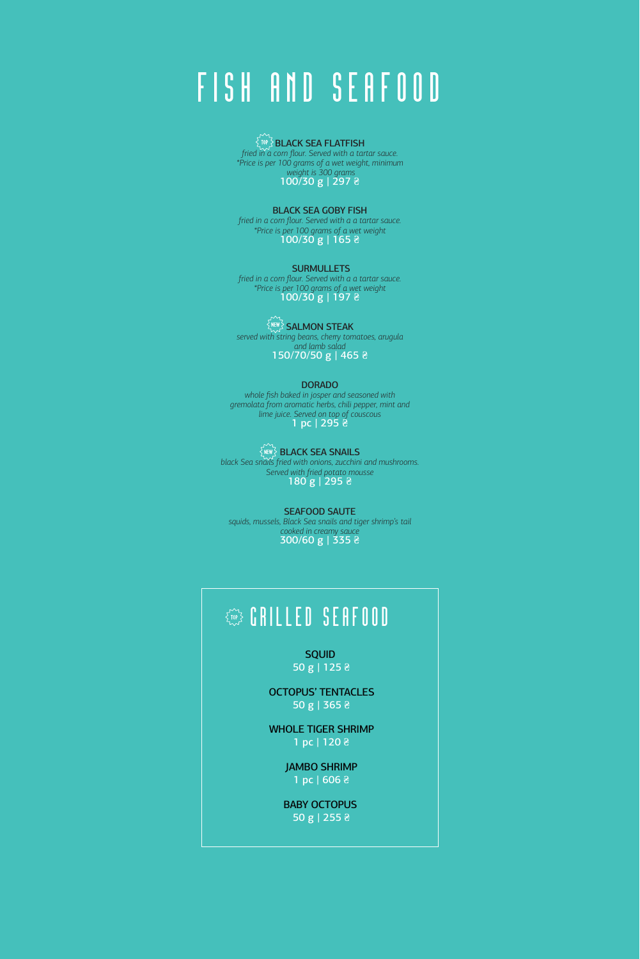# FISH AND SEAFOOD

BLACK SEA FLATFISH *fried in a corn flour. Served with a tartar sauce. \*Price is per 100 grams of a wet weight, minimum weight is 300 grams* 100/30 g | 297 ₴

BLACK SEA GOBY FISH

*fried in a corn flour. Served with a a tartar sauce. \*Price is per 100 grams of a wet weight* 100/30 g | 165 ₴

**SURMULLETS** *fried in a corn flour. Served with a a tartar sauce. \*Price is per 100 grams of a wet weight* 100/30 g | 197 ₴

SALMON STEAK *served with string beans, cherry tomatoes, arugula and lamb salad*  150/70/50 g | 465 ₴

DORADO

*whole fish baked in josper and seasoned with gremolata from aromatic herbs, chili pepper, mint and lime juice. Served on top of couscous* 1 pc | 295 ₴

BLACK SEA SNAILS *black Sea snails fried with onions, zucchini and mushrooms. Served with fried potato mousse* 180 g | 295 ₴

SEAFOOD SAUTE *squids, mussels, Black Sea snails and tiger shrimp's tail cooked in creamy sauce* 300/60 g | 335 ₴

## GRILLED SEAFOOD

SQUID 50 g | 125 ₴

OCTOPUS' TENTACLES 50 g | 365 ₴

WHOLE TIGER SHRIMP 1 pc | 120 ₴

> JAMBO SHRIMP 1 pc | 606 ₴

> BABY OCTOPUS 50 g | 255 ₴